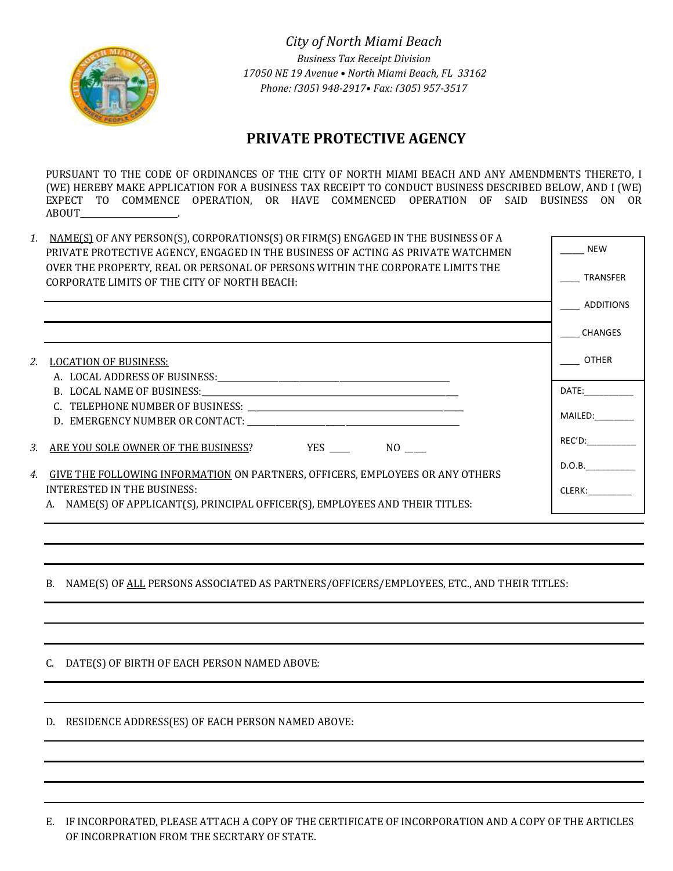

 *City of North Miami Beach Business Tax Receipt Division 17050 NE 19 Avenue • North Miami Beach, FL 33162 Phone: (305) 948-2917• Fax: (305) 957-3517*

# **PRIVATE PROTECTIVE AGENCY**

PURSUANT TO THE CODE OF ORDINANCES OF THE CITY OF NORTH MIAMI BEACH AND ANY AMENDMENTS THERETO, I (WE) HEREBY MAKE APPLICATION FOR A BUSINESS TAX RECEIPT TO CONDUCT BUSINESS DESCRIBED BELOW, AND I (WE) EXPECT TO COMMENCE OPERATION, OR HAVE COMMENCED OPERATION OF SAID BUSINESS ON OR ABOUT\_\_\_\_\_\_\_\_\_\_\_\_\_\_\_\_\_\_\_\_\_\_\_\_.

| 1. | NAME(S) OF ANY PERSON(S), CORPORATIONS(S) OR FIRM(S) ENGAGED IN THE BUSINESS OF A                                              |                                                                                                                                                                                                                               |
|----|--------------------------------------------------------------------------------------------------------------------------------|-------------------------------------------------------------------------------------------------------------------------------------------------------------------------------------------------------------------------------|
|    | PRIVATE PROTECTIVE AGENCY, ENGAGED IN THE BUSINESS OF ACTING AS PRIVATE WATCHMEN                                               | <b>NEW</b>                                                                                                                                                                                                                    |
|    | OVER THE PROPERTY, REAL OR PERSONAL OF PERSONS WITHIN THE CORPORATE LIMITS THE<br>CORPORATE LIMITS OF THE CITY OF NORTH BEACH: | <b>TRANSFER</b>                                                                                                                                                                                                               |
|    |                                                                                                                                | ADDITIONS                                                                                                                                                                                                                     |
|    |                                                                                                                                | <b>CHANGES</b>                                                                                                                                                                                                                |
| 2. | <b>LOCATION OF BUSINESS:</b>                                                                                                   | OTHER                                                                                                                                                                                                                         |
|    |                                                                                                                                |                                                                                                                                                                                                                               |
|    |                                                                                                                                | DATE: and the state of the state of the state of the state of the state of the state of the state of the state of the state of the state of the state of the state of the state of the state of the state of the state of the |
|    |                                                                                                                                |                                                                                                                                                                                                                               |
|    |                                                                                                                                | MAILED: ________                                                                                                                                                                                                              |
| 3. |                                                                                                                                | REC'D:                                                                                                                                                                                                                        |
|    |                                                                                                                                | D.O.B.                                                                                                                                                                                                                        |
| 4. | <b>GIVE THE FOLLOWING INFORMATION ON PARTNERS, OFFICERS, EMPLOYEES OR ANY OTHERS</b>                                           |                                                                                                                                                                                                                               |
|    | INTERESTED IN THE BUSINESS:                                                                                                    | CLERK: <b>Album</b>                                                                                                                                                                                                           |
|    | A. NAME(S) OF APPLICANT(S), PRINCIPAL OFFICER(S), EMPLOYEES AND THEIR TITLES:                                                  |                                                                                                                                                                                                                               |

B. NAME(S) OF ALL PERSONS ASSOCIATED AS PARTNERS/OFFICERS/EMPLOYEES, ETC., AND THEIR TITLES:

C. DATE(S) OF BIRTH OF EACH PERSON NAMED ABOVE:

D. RESIDENCE ADDRESS(ES) OF EACH PERSON NAMED ABOVE:

E. IF INCORPORATED, PLEASE ATTACH A COPY OF THE CERTIFICATE OF INCORPORATION AND A COPY OF THE ARTICLES OF INCORPRATION FROM THE SECRTARY OF STATE.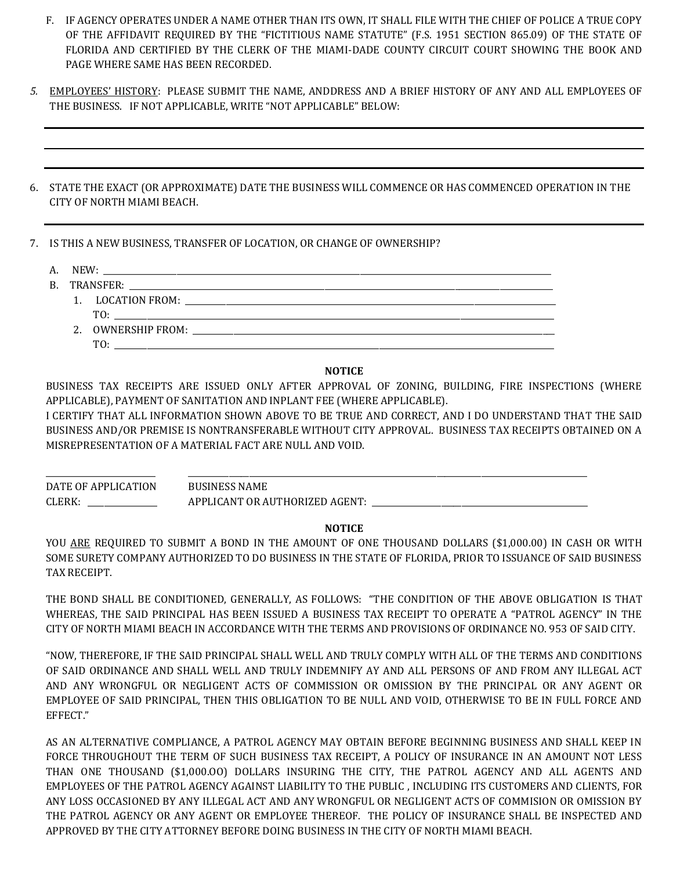- F. IF AGENCY OPERATES UNDER A NAME OTHER THAN ITS OWN, IT SHALL FILE WITH THE CHIEF OF POLICE A TRUE COPY OF THE AFFIDAVIT REQUIRED BY THE "FICTITIOUS NAME STATUTE" (F.S. 1951 SECTION 865.09) OF THE STATE OF FLORIDA AND CERTIFIED BY THE CLERK OF THE MIAMI-DADE COUNTY CIRCUIT COURT SHOWING THE BOOK AND PAGE WHERE SAME HAS BEEN RECORDED.
- *5.* EMPLOYEES' HISTORY: PLEASE SUBMIT THE NAME, ANDDRESS AND A BRIEF HISTORY OF ANY AND ALL EMPLOYEES OF THE BUSINESS. IF NOT APPLICABLE, WRITE "NOT APPLICABLE" BELOW:
- 6. STATE THE EXACT (OR APPROXIMATE) DATE THE BUSINESS WILL COMMENCE OR HAS COMMENCED OPERATION IN THE CITY OF NORTH MIAMI BEACH.
- 7. IS THIS A NEW BUSINESS, TRANSFER OF LOCATION, OR CHANGE OF OWNERSHIP?
	- A. NEW: \_\_\_\_\_\_\_\_\_\_\_\_\_\_\_\_\_\_\_\_\_\_\_\_\_\_\_\_\_\_\_\_\_\_\_\_\_\_\_\_\_\_\_\_\_\_\_\_\_\_\_\_\_\_\_\_\_\_\_\_\_\_\_\_\_\_\_\_\_\_\_\_\_\_\_\_\_\_\_\_\_\_\_\_\_\_\_\_\_\_\_\_\_\_\_\_\_\_\_\_\_\_\_\_\_\_\_\_\_\_
	- B. TRANSFER:
		- 1. LOCATION FROM: \_\_\_\_\_\_\_\_\_\_\_\_\_\_\_\_\_\_\_\_\_\_\_\_\_\_\_\_\_\_\_\_\_\_\_\_\_\_\_\_\_\_\_\_\_\_\_\_\_\_\_\_\_\_\_\_\_\_\_\_\_\_\_\_\_\_\_\_\_\_\_\_\_\_\_\_\_\_\_\_\_\_\_\_\_\_\_\_\_\_\_ TO: \_\_\_\_\_\_\_\_\_\_\_\_\_\_\_\_\_\_\_\_\_\_\_\_\_\_\_\_\_\_\_\_\_\_\_\_\_\_\_\_\_\_\_\_\_\_\_\_\_\_\_\_\_\_\_\_\_\_\_\_\_\_\_\_\_\_\_\_\_\_\_\_\_\_\_\_\_\_\_\_\_\_\_\_\_\_\_\_\_\_\_\_\_\_\_\_\_\_\_\_\_\_\_\_\_\_\_\_ 2. OWNERSHIP FROM:
			- $TO:$

## **NOTICE**

BUSINESS TAX RECEIPTS ARE ISSUED ONLY AFTER APPROVAL OF ZONING, BUILDING, FIRE INSPECTIONS (WHERE APPLICABLE), PAYMENT OF SANITATION AND INPLANT FEE (WHERE APPLICABLE).

I CERTIFY THAT ALL INFORMATION SHOWN ABOVE TO BE TRUE AND CORRECT, AND I DO UNDERSTAND THAT THE SAID BUSINESS AND/OR PREMISE IS NONTRANSFERABLE WITHOUT CITY APPROVAL. BUSINESS TAX RECEIPTS OBTAINED ON A MISREPRESENTATION OF A MATERIAL FACT ARE NULL AND VOID.

\_\_\_\_\_\_\_\_\_\_\_\_\_\_\_\_\_\_\_\_\_\_\_\_\_\_\_ \_\_\_\_\_\_\_\_\_\_\_\_\_\_\_\_\_\_\_\_\_\_\_\_\_\_\_\_\_\_\_\_\_\_\_\_\_\_\_\_\_\_\_\_\_\_\_\_\_\_\_\_\_\_\_\_\_\_\_\_\_\_\_\_\_\_\_\_\_\_\_\_\_\_\_\_\_\_\_\_\_\_\_\_\_\_\_\_\_\_\_\_\_\_\_\_\_\_ DATE OF APPLICATION BUSINESS NAME CLERK: \_\_\_\_\_\_\_\_\_\_\_\_\_\_\_\_\_\_\_\_\_\_\_ APPLICANT OR AUTHORIZED AGENT: \_\_\_\_\_\_\_\_\_\_\_\_\_\_\_\_\_\_

#### **NOTICE**

YOU ARE REQUIRED TO SUBMIT A BOND IN THE AMOUNT OF ONE THOUSAND DOLLARS (\$1,000.00) IN CASH OR WITH SOME SURETY COMPANY AUTHORIZED TO DO BUSINESS IN THE STATE OF FLORIDA, PRIOR TO ISSUANCE OF SAID BUSINESS TAX RECEIPT.

THE BOND SHALL BE CONDITIONED, GENERALLY, AS FOLLOWS: "THE CONDITION OF THE ABOVE OBLIGATION IS THAT WHEREAS, THE SAID PRINCIPAL HAS BEEN ISSUED A BUSINESS TAX RECEIPT TO OPERATE A "PATROL AGENCY" IN THE CITY OF NORTH MIAMI BEACH IN ACCORDANCE WITH THE TERMS AND PROVISIONS OF ORDINANCE NO. 953 OF SAID CITY.

"NOW, THEREFORE, IF THE SAID PRINCIPAL SHALL WELL AND TRULY COMPLY WITH ALL OF THE TERMS AND CONDITIONS OF SAID ORDINANCE AND SHALL WELL AND TRULY INDEMNIFY AY AND ALL PERSONS OF AND FROM ANY ILLEGAL ACT AND ANY WRONGFUL OR NEGLIGENT ACTS OF COMMISSION OR OMISSION BY THE PRINCIPAL OR ANY AGENT OR EMPLOYEE OF SAID PRINCIPAL, THEN THIS OBLIGATION TO BE NULL AND VOID, OTHERWISE TO BE IN FULL FORCE AND EFFECT."

AS AN ALTERNATIVE COMPLIANCE, A PATROL AGENCY MAY OBTAIN BEFORE BEGINNING BUSINESS AND SHALL KEEP IN FORCE THROUGHOUT THE TERM OF SUCH BUSINESS TAX RECEIPT, A POLICY OF INSURANCE IN AN AMOUNT NOT LESS THAN ONE THOUSAND (\$1,000.OO) DOLLARS INSURING THE CITY, THE PATROL AGENCY AND ALL AGENTS AND EMPLOYEES OF THE PATROL AGENCY AGAINST LIABILITY TO THE PUBLIC , INCLUDING ITS CUSTOMERS AND CLIENTS, FOR ANY LOSS OCCASIONED BY ANY ILLEGAL ACT AND ANY WRONGFUL OR NEGLIGENT ACTS OF COMMISION OR OMISSION BY THE PATROL AGENCY OR ANY AGENT OR EMPLOYEE THEREOF. THE POLICY OF INSURANCE SHALL BE INSPECTED AND APPROVED BY THE CITY ATTORNEY BEFORE DOING BUSINESS IN THE CITY OF NORTH MIAMI BEACH.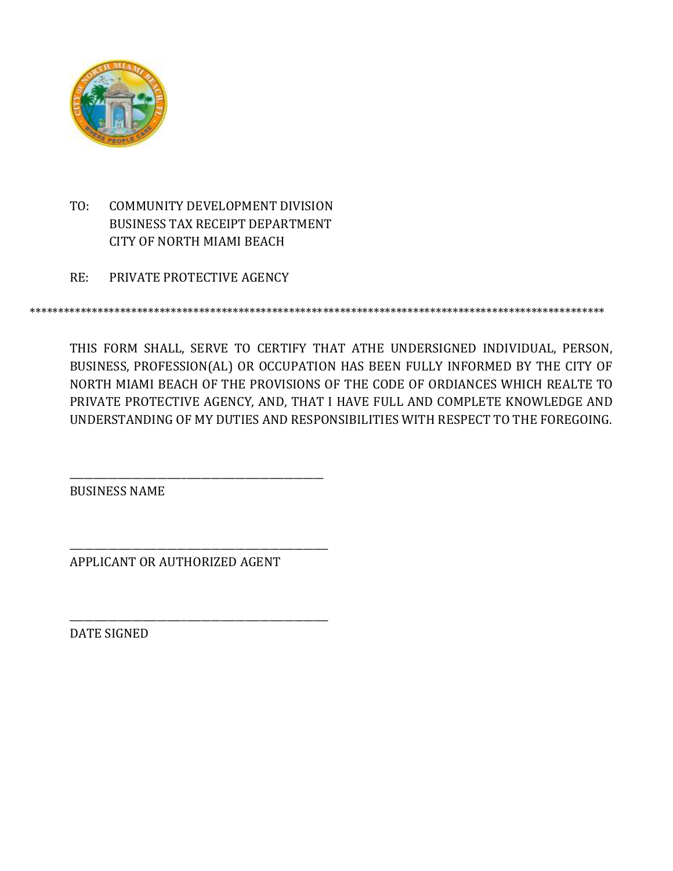

TO: COMMUNITY DEVELOPMENT DIVISION BUSINESS TAX RECEIPT DEPARTMENT CITY OF NORTH MIAMI BEACH

RE: PRIVATE PROTECTIVE AGENCY

\*\*\*\*\*\*\*\*\*\*\*\*\*\*\*\*\*\*\*\*\*\*\*\*\*\*\*\*\*\*\*\*\*\*\*\*\*\*\*\*\*\*\*\*\*\*\*\*\*\*\*\*\*\*\*\*\*\*\*\*\*\*\*\*\*\*\*\*\*\*\*\*\*\*\*\*\*\*\*\*\*\*\*\*\*\*\*\*\*\*\*\*\*\*\*\*\*\*\*\*\*\*

THIS FORM SHALL, SERVE TO CERTIFY THAT ATHE UNDERSIGNED INDIVIDUAL, PERSON, BUSINESS, PROFESSION(AL) OR OCCUPATION HAS BEEN FULLY INFORMED BY THE CITY OF NORTH MIAMI BEACH OF THE PROVISIONS OF THE CODE OF ORDIANCES WHICH REALTE TO PRIVATE PROTECTIVE AGENCY, AND, THAT I HAVE FULL AND COMPLETE KNOWLEDGE AND UNDERSTANDING OF MY DUTIES AND RESPONSIBILITIES WITH RESPECT TO THE FOREGOING.

BUSINESS NAME

APPLICANT OR AUTHORIZED AGENT

\_\_\_\_\_\_\_\_\_\_\_\_\_\_\_\_\_\_\_\_\_\_\_\_\_\_\_\_\_\_\_\_\_\_\_\_\_\_\_\_\_\_\_\_\_\_\_\_\_\_\_\_

\_\_\_\_\_\_\_\_\_\_\_\_\_\_\_\_\_\_\_\_\_\_\_\_\_\_\_\_\_\_\_\_\_\_\_\_\_\_\_\_\_\_\_\_\_\_\_\_\_\_\_\_\_

\_\_\_\_\_\_\_\_\_\_\_\_\_\_\_\_\_\_\_\_\_\_\_\_\_\_\_\_\_\_\_\_\_\_\_\_\_\_\_\_\_\_\_\_\_\_\_\_\_\_\_\_\_

DATE SIGNED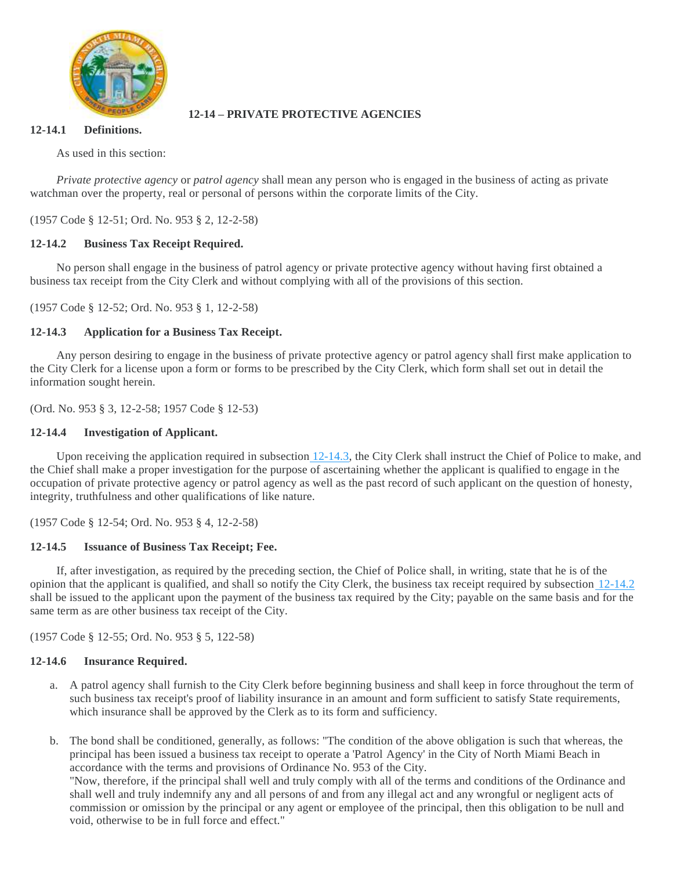

# **12-14 – PRIVATE PROTECTIVE AGENCIES**

## **12-14.1 Definitions.**

As used in this section:

*Private protective agency* or *patrol agency* shall mean any person who is engaged in the business of acting as private watchman over the property, real or personal of persons within the corporate limits of the City.

(1957 Code § 12-51; Ord. No. 953 § 2, 12-2-58)

# **12-14.2 Business Tax Receipt Required.**

No person shall engage in the business of patrol agency or private protective agency without having first obtained a business tax receipt from the City Clerk and without complying with all of the provisions of this section.

(1957 Code § 12-52; Ord. No. 953 § 1, 12-2-58)

## **12-14.3 Application for a Business Tax Receipt.**

Any person desiring to engage in the business of private protective agency or patrol agency shall first make application to the City Clerk for a license upon a form or forms to be prescribed by the City Clerk, which form shall set out in detail the information sought herein.

(Ord. No. 953 § 3, 12-2-58; 1957 Code § 12-53)

## **12-14.4 Investigation of Applicant.**

Upon receiving the application required in subsection  $12-14.3$ , the City Clerk shall instruct the Chief of Police to make, and the Chief shall make a proper investigation for the purpose of ascertaining whether the applicant is qualified to engage in the occupation of private protective agency or patrol agency as well as the past record of such applicant on the question of honesty, integrity, truthfulness and other qualifications of like nature.

(1957 Code § 12-54; Ord. No. 953 § 4, 12-2-58)

## **12-14.5 Issuance of Business Tax Receipt; Fee.**

If, after investigation, as required by the preceding section, the Chief of Police shall, in writing, state that he is of the opinion that the applicant is qualified, and shall so notify the City Clerk, the business tax receipt required by subsection [12-14.2](https://library.municode.com/fl/north_miami_beach/codes/code_of_ordinances?nodeId=PTIICOOR_CHXIILOBUTARERE_ARTIIICOSPBUTARE_12-14PRPRAG_12-14.2BUTARERE) shall be issued to the applicant upon the payment of the business tax required by the City; payable on the same basis and for the same term as are other business tax receipt of the City.

(1957 Code § 12-55; Ord. No. 953 § 5, 122-58)

## **12-14.6 Insurance Required.**

- a. A patrol agency shall furnish to the City Clerk before beginning business and shall keep in force throughout the term of such business tax receipt's proof of liability insurance in an amount and form sufficient to satisfy State requirements, which insurance shall be approved by the Clerk as to its form and sufficiency.
- b. The bond shall be conditioned, generally, as follows: "The condition of the above obligation is such that whereas, the principal has been issued a business tax receipt to operate a 'Patrol Agency' in the City of North Miami Beach in accordance with the terms and provisions of Ordinance No. 953 of the City. "Now, therefore, if the principal shall well and truly comply with all of the terms and conditions of the Ordinance and shall well and truly indemnify any and all persons of and from any illegal act and any wrongful or negligent acts of commission or omission by the principal or any agent or employee of the principal, then this obligation to be null and

void, otherwise to be in full force and effect."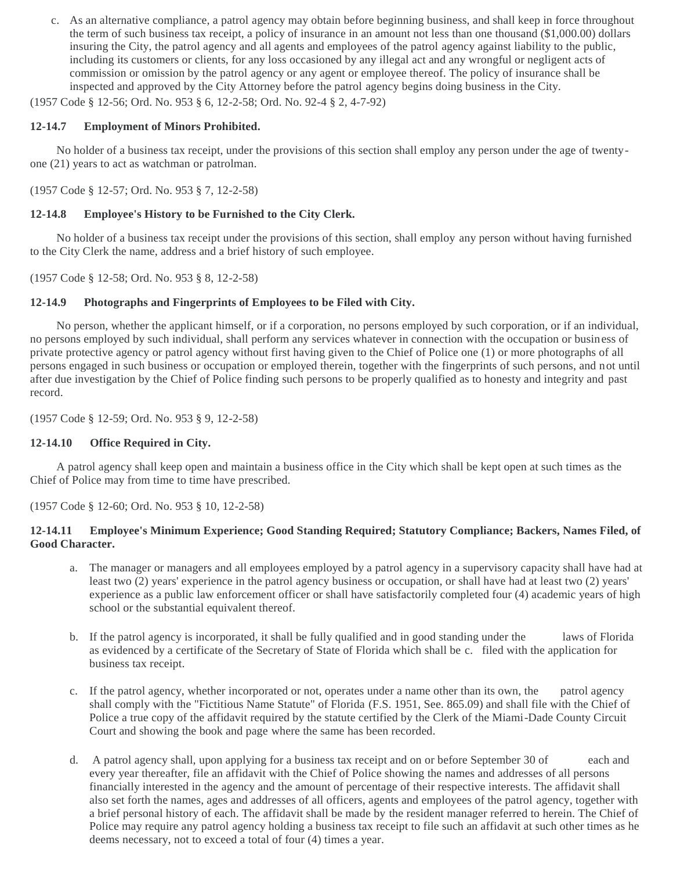c. As an alternative compliance, a patrol agency may obtain before beginning business, and shall keep in force throughout the term of such business tax receipt, a policy of insurance in an amount not less than one thousand (\$1,000.00) dollars insuring the City, the patrol agency and all agents and employees of the patrol agency against liability to the public, including its customers or clients, for any loss occasioned by any illegal act and any wrongful or negligent acts of commission or omission by the patrol agency or any agent or employee thereof. The policy of insurance shall be inspected and approved by the City Attorney before the patrol agency begins doing business in the City.

(1957 Code § 12-56; Ord. No. 953 § 6, 12-2-58; Ord. No. 92-4 § 2, 4-7-92)

## **12-14.7 Employment of Minors Prohibited.**

No holder of a business tax receipt, under the provisions of this section shall employ any person under the age of twentyone (21) years to act as watchman or patrolman.

(1957 Code § 12-57; Ord. No. 953 § 7, 12-2-58)

## **12-14.8 Employee's History to be Furnished to the City Clerk.**

No holder of a business tax receipt under the provisions of this section, shall employ any person without having furnished to the City Clerk the name, address and a brief history of such employee.

(1957 Code § 12-58; Ord. No. 953 § 8, 12-2-58)

## **12-14.9 Photographs and Fingerprints of Employees to be Filed with City.**

No person, whether the applicant himself, or if a corporation, no persons employed by such corporation, or if an individual, no persons employed by such individual, shall perform any services whatever in connection with the occupation or business of private protective agency or patrol agency without first having given to the Chief of Police one (1) or more photographs of all persons engaged in such business or occupation or employed therein, together with the fingerprints of such persons, and not until after due investigation by the Chief of Police finding such persons to be properly qualified as to honesty and integrity and past record.

(1957 Code § 12-59; Ord. No. 953 § 9, 12-2-58)

## **12-14.10 Office Required in City.**

A patrol agency shall keep open and maintain a business office in the City which shall be kept open at such times as the Chief of Police may from time to time have prescribed.

(1957 Code § 12-60; Ord. No. 953 § 10, 12-2-58)

## **12-14.11 Employee's Minimum Experience; Good Standing Required; Statutory Compliance; Backers, Names Filed, of Good Character.**

- a. The manager or managers and all employees employed by a patrol agency in a supervisory capacity shall have had at least two (2) years' experience in the patrol agency business or occupation, or shall have had at least two (2) years' experience as a public law enforcement officer or shall have satisfactorily completed four (4) academic years of high school or the substantial equivalent thereof.
- b. If the patrol agency is incorporated, it shall be fully qualified and in good standing under the laws of Florida as evidenced by a certificate of the Secretary of State of Florida which shall be c. filed with the application for business tax receipt.
- c. If the patrol agency, whether incorporated or not, operates under a name other than its own, the patrol agency shall comply with the "Fictitious Name Statute" of Florida (F.S. 1951, See. 865.09) and shall file with the Chief of Police a true copy of the affidavit required by the statute certified by the Clerk of the Miami-Dade County Circuit Court and showing the book and page where the same has been recorded.
- d. A patrol agency shall, upon applying for a business tax receipt and on or before September 30 of each and every year thereafter, file an affidavit with the Chief of Police showing the names and addresses of all persons financially interested in the agency and the amount of percentage of their respective interests. The affidavit shall also set forth the names, ages and addresses of all officers, agents and employees of the patrol agency, together with a brief personal history of each. The affidavit shall be made by the resident manager referred to herein. The Chief of Police may require any patrol agency holding a business tax receipt to file such an affidavit at such other times as he deems necessary, not to exceed a total of four (4) times a year.